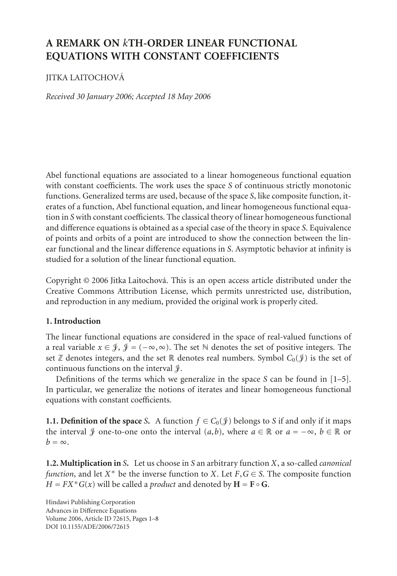# **A REMARK ON** *k***TH-ORDER LINEAR FUNCTIONAL EQUATIONS WITH CONSTANT COEFFICIENTS**

## JITKA LAITOCHOVA´

*Received 30 January 2006; Accepted 18 May 2006*

Abel functional equations are associated to a linear homogeneous functional equation with constant coefficients. The work uses the space *S* of continuous strictly monotonic functions. Generalized terms are used, because of the space *S*, like composite function, iterates of a function, Abel functional equation, and linear homogeneous functional equation in *S* with constant coefficients. The classical theory of linear homogeneous functional and difference equations is obtained as a special case of the theory in space *S*. Equivalence of points and orbits of a point are introduced to show the connection between the linear functional and the linear difference equations in *S*. Asymptotic behavior at infinity is studied for a solution of the linear functional equation.

Copyright © 2006 Jitka Laitochová. This is an open access article distributed under the Creative Commons Attribution License, which permits unrestricted use, distribution, and reproduction in any medium, provided the original work is properly cited.

### **1. Introduction**

The linear functional equations are considered in the space of real-valued functions of a real variable  $x \in \mathcal{J}, \mathcal{J} = (-\infty, \infty)$ . The set  $\mathbb N$  denotes the set of positive integers. The set  $\mathbb Z$  denotes integers, and the set  $\mathbb R$  denotes real numbers. Symbol  $C_0(\mathscr G)$  is the set of continuous functions on the interval  $\mathcal{J}.$ 

Definitions of the terms which we generalize in the space *S* can be found in [\[1](#page-7-0)[–5\]](#page-7-1). In particular, we generalize the notions of iterates and linear homogeneous functional equations with constant coefficients.

**1.1. Definition of the space** *S***.** A function  $f \in C_0(\mathcal{J})$  belongs to *S* if and only if it maps the interval  $\mathcal{F}$  one-to-one onto the interval  $(a, b)$ , where  $a \in \mathbb{R}$  or  $a = -\infty$ ,  $b \in \mathbb{R}$  or  $b = \infty$ 

**1.2. Multiplication in** *S***.** Let us choose in *S* an arbitrary function *X*, a so-called *canonical function*, and let *X*<sup>\*</sup> be the inverse function to *X*. Let *F*, *G*  $\in$  *S*. The composite function *H* =  $FX * G(x)$  will be called a *product* and denoted by  $H = F \circ G$ .

Hindawi Publishing Corporation Advances in Difference Equations Volume 2006, Article ID 72615, Pages 1[–8](#page-7-2) DOI 10.1155/ADE/2006/72615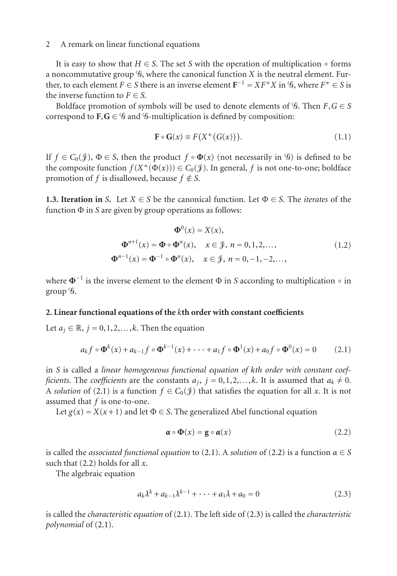It is easy to show that  $H \in S$ . The set *S* with the operation of multiplication  $\circ$  forms a noncommutative group  $\mathcal G$ , where the canonical function X is the neutral element. Further, to each element  $F \in S$  there is an inverse element  $\mathbf{F}^{-1} = XF^*X$  in  $\mathscr{G}$ , where  $F^* \in S$  is the inverse function to  $F \in S$ .

Boldface promotion of symbols will be used to denote elements of  $\mathcal{G}$ . Then  $F, G \in S$ correspond to  $F, G \in \mathcal{G}$  and  $\mathcal{G}$ -multiplication is defined by composition:

$$
\mathbf{F} \circ \mathbf{G}(x) \equiv F(X^*(G(x))). \tag{1.1}
$$

If  $f \in C_0(\mathcal{J})$ ,  $\Phi \in S$ , then the product  $f \circ \Phi(x)$  (not necessarily in  $\mathcal{G}$ ) is defined to be the composite function  $f(X^*(\Phi(x))) \in C_0(\mathcal{J})$ . In general, *f* is not one-to-one; boldface promotion of *f* is disallowed, because  $f \notin S$ .

**1.3. Iteration in** *S*. Let  $X \in S$  be the canonical function. Let  $\Phi \in S$ . The *iterates* of the function Φ in *S* are given by group operations as follows:

$$
\Phi^{0}(x) = X(x),
$$
  
\n
$$
\Phi^{n+1}(x) = \Phi \circ \Phi^{n}(x), \quad x \in \mathcal{J}, n = 0, 1, 2, ...
$$
  
\n
$$
\Phi^{n-1}(x) = \Phi^{-1} \circ \Phi^{n}(x), \quad x \in \mathcal{J}, n = 0, -1, -2, ...
$$
\n(1.2)

where  $\Phi$ <sup>-1</sup> is the inverse element to the element Φ in *S* according to multiplication ∘ in group  $\mathscr{G}$ .

#### **2. Linear functional equations of the** *k***th order with constant coefficients**

Let  $a_j \in \mathbb{R}$ ,  $j = 0, 1, 2, \ldots, k$ . Then the equation

$$
a_k f \circ \Phi^k(x) + a_{k-1} f \circ \Phi^{k-1}(x) + \dots + a_1 f \circ \Phi^1(x) + a_0 f \circ \Phi^0(x) = 0 \tag{2.1}
$$

in *S* is called a *linear homogeneous functional equation of kth order with constant coefficients*. The *coefficients* are the constants  $a_j$ ,  $j = 0, 1, 2, \ldots, k$ . It is assumed that  $a_k \neq 0$ . A *solution* of [\(2.1\)](#page-1-0) is a function  $f \in C_0(\mathcal{Y})$  that satisfies the equation for all *x*. It is not assumed that *f* is one-to-one.

Let  $g(x) = X(x+1)$  and let  $\Phi \in S$ . The generalized Abel functional equation

<span id="page-1-2"></span><span id="page-1-1"></span><span id="page-1-0"></span>
$$
\boldsymbol{\alpha} \circ \boldsymbol{\Phi}(x) = \mathbf{g} \circ \boldsymbol{\alpha}(x) \tag{2.2}
$$

is called the *associated functional equation* to [\(2.1\)](#page-1-0). A *solution* of [\(2.2\)](#page-1-1) is a function  $\alpha \in S$ such that [\(2.2\)](#page-1-1) holds for all *x*.

The algebraic equation

$$
a_k \lambda^k + a_{k-1} \lambda^{k-1} + \dots + a_1 \lambda + a_0 = 0
$$
 (2.3)

is called the *characteristic equation* of [\(2.1\)](#page-1-0). The left side of [\(2.3\)](#page-1-2) is called the *characteristic polynomial* of [\(2.1\)](#page-1-0).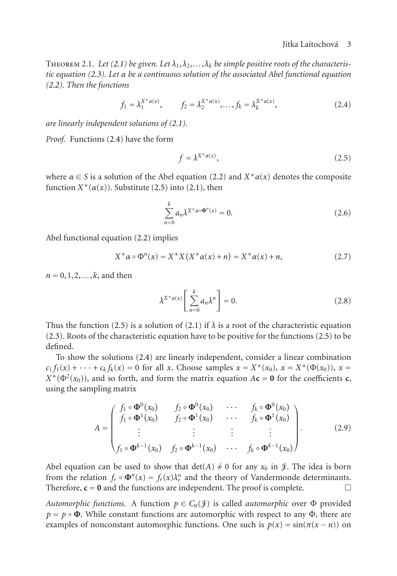#### <span id="page-2-0"></span>Jitka Laitochova 3 ´

THEOREM 2.1. Let [\(2.1\)](#page-1-0) be given. Let  $\lambda_1, \lambda_2, \ldots, \lambda_k$  be simple positive roots of the characteris*tic equation [\(2.3\)](#page-1-2). Let α be a continuous solution of the associated Abel functional equation [\(2.2\)](#page-1-1). Then the functions*

$$
f_1 = \lambda_1^{X^* \alpha(x)}, \qquad f_2 = \lambda_2^{X^* \alpha(x)}, \dots, f_k = \lambda_k^{X^* \alpha(x)}, \tag{2.4}
$$

*are linearly independent solutions of [\(2.1\)](#page-1-0).*

*Proof.* Functions [\(2.4\)](#page-2-0) have the form

<span id="page-2-1"></span>
$$
f = \lambda^{X^* \alpha(x)},\tag{2.5}
$$

where  $\alpha \in S$  is a solution of the Abel equation [\(2.2\)](#page-1-1) and  $X^* \alpha(x)$  denotes the composite function  $X^*(\alpha(x))$ . Substitute [\(2.5\)](#page-2-1) into [\(2.1\)](#page-1-0), then

$$
\sum_{n=0}^{k} a_n \lambda^{X^*\alpha \cdot \Phi^n(x)} = 0.
$$
\n(2.6)

Abel functional equation [\(2.2\)](#page-1-1) implies

$$
X^*\alpha \circ \Phi^n(x) = X^*X(X^*\alpha(x) + n) = X^*\alpha(x) + n,\tag{2.7}
$$

 $n = 0, 1, 2, \ldots, k$ , and then

$$
\lambda^{X^*\alpha(x)} \left[ \sum_{n=0}^k a_n \lambda^n \right] = 0. \tag{2.8}
$$

Thus the function [\(2.5\)](#page-2-1) is a solution of [\(2.1\)](#page-1-0) if  $\lambda$  is a root of the characteristic equation [\(2.3\)](#page-1-2). Roots of the characteristic equation have to be positive for the functions [\(2.5\)](#page-2-1) to be defined.

To show the solutions [\(2.4\)](#page-2-0) are linearly independent, consider a linear combination  $c_1 f_1(x) + \cdots + c_k f_k(x) = 0$  for all *x*. Choose samples  $x = X^*(x_0)$ ,  $x = X^*(\Phi(x_0))$ ,  $x =$  $X^*(\Phi^2(x_0))$ , and so forth, and form the matrix equation  $A\mathbf{c} = \mathbf{0}$  for the coefficients **c**, using the sampling matrix

$$
A = \begin{pmatrix} f_1 \circ \Phi^0(x_0) & f_2 \circ \Phi^0(x_0) & \cdots & f_k \circ \Phi^0(x_0) \\ f_1 \circ \Phi^1(x_0) & f_2 \circ \Phi^1(x_0) & \cdots & f_k \circ \Phi^1(x_0) \\ \vdots & \vdots & \vdots & \vdots \\ f_1 \circ \Phi^{k-1}(x_0) & f_2 \circ \Phi^{k-1}(x_0) & \cdots & f_k \circ \Phi^{k-1}(x_0) \end{pmatrix} .
$$
 (2.9)

Abel equation can be used to show that  $det(A) \neq 0$  for any  $x_0$  in  $\mathcal{J}$ . The idea is born from the relation  $f_r \circ \Phi^n(x) = f_r(x)\lambda_r^n$  and the theory of Vandermonde determinants. Therefore,  $\mathbf{c} = \mathbf{0}$  and the functions are independent. The proof is complete.  $\Box$ 

*Automorphic functions.* A function  $p \in C_0(\mathcal{F})$  is called *automorphic* over  $\Phi$  provided  $p = p \circ \Phi$ . While constant functions are automorphic with respect to any  $\Phi$ , there are examples of nonconstant automorphic functions. One such is  $p(x) = sin(\pi(x - n))$  on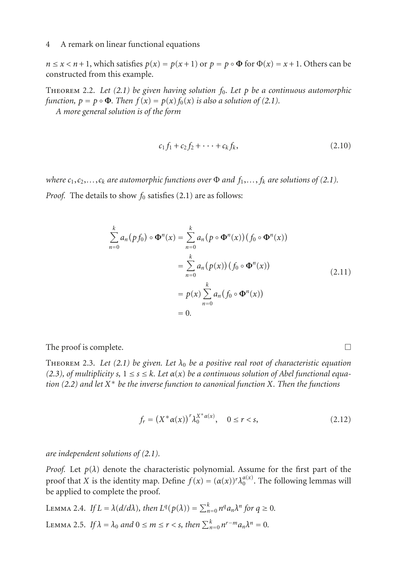$n \le x < n+1$ , which satisfies  $p(x) = p(x+1)$  or  $p = p \circ \Phi$  for  $\Phi(x) = x+1$ . Others can be constructed from this example.

Theorem 2.2. *Let [\(2.1\)](#page-1-0) be given having solution f*0*. Let p be a continuous automorphic function,*  $p = p \circ \Phi$ *. Then*  $f(x) = p(x) f_0(x)$  *is also a solution of [\(2.1\)](#page-1-0). A more general solution is of the form*

$$
c_1 f_1 + c_2 f_2 + \cdots + c_k f_k, \tag{2.10}
$$

*where*  $c_1, c_2, \ldots, c_k$  *are automorphic functions over*  $\Phi$  *and*  $f_1, \ldots, f_k$  *are solutions of* [\(2.1\)](#page-1-0)*.* 

*Proof.* The details to show  $f_0$  satisfies [\(2.1\)](#page-1-0) are as follows:

$$
\sum_{n=0}^{k} a_n (pf_0) \circ \mathbf{\Phi}^n(x) = \sum_{n=0}^{k} a_n (p \circ \mathbf{\Phi}^n(x)) (f_0 \circ \mathbf{\Phi}^n(x))
$$
  
= 
$$
\sum_{n=0}^{k} a_n (p(x)) (f_0 \circ \mathbf{\Phi}^n(x))
$$
  
= 
$$
p(x) \sum_{n=0}^{k} a_n (f_0 \circ \mathbf{\Phi}^n(x))
$$
  
= 0. (2.11)

The proof is complete.  $\Box$ 

Theorem 2.3. *Let [\(2.1\)](#page-1-0) be given. Let λ*<sup>0</sup> *be a positive real root of characteristic equation [\(2.3\)](#page-1-2)*, of multiplicity *s*,  $1 \le s \le k$ *. Let*  $\alpha(x)$  *be a continuous solution of Abel functional equation [\(2.2\)](#page-1-1) and let X*<sup>∗</sup> *be the inverse function to canonical function X. Then the functions*

<span id="page-3-2"></span>
$$
f_r = (X^* \alpha(x))^r \lambda_0^{X^* \alpha(x)}, \quad 0 \le r < s,\tag{2.12}
$$

*are independent solutions of [\(2.1\)](#page-1-0).*

*Proof.* Let  $p(\lambda)$  denote the characteristic polynomial. Assume for the first part of the proof that *X* is the identity map. Define  $f(x) = (\alpha(x))^r \lambda_0^{\alpha(x)}$ . The following lemmas will be applied to complete the proof.

<span id="page-3-1"></span><span id="page-3-0"></span>LEMMA 2.4. If 
$$
L = \lambda(d/d\lambda)
$$
, then  $L^q(p(\lambda)) = \sum_{n=0}^k n^q a_n \lambda^n$  for  $q \ge 0$ .  
LEMMA 2.5. If  $\lambda = \lambda_0$  and  $0 \le m \le r < s$ , then  $\sum_{n=0}^k n^{r-m} a_n \lambda^n = 0$ .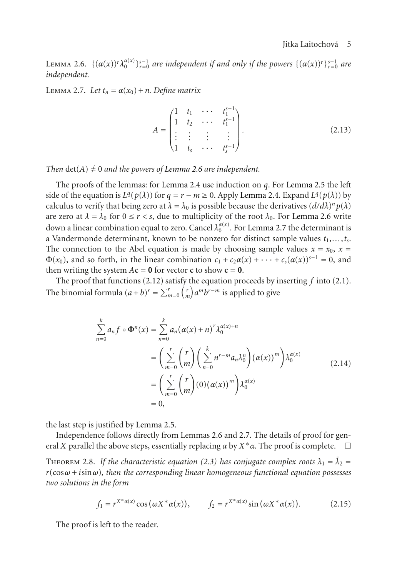<span id="page-4-0"></span>LEMMA 2.6.  $\{(\alpha(x))^r \lambda_0^{\alpha(x)}\}_{r=0}^{s-1}$  *are independent if and only if the powers*  $\{(\alpha(x))^r\}_{r=0}^{s-1}$  *are independent.*

<span id="page-4-1"></span>LEMMA 2.7. Let  $t_n = \alpha(x_0) + n$ . Define matrix

$$
A = \begin{pmatrix} 1 & t_1 & \cdots & t_1^{s-1} \\ 1 & t_2 & \cdots & t_1^{s-1} \\ \vdots & \vdots & \vdots & \vdots \\ 1 & t_s & \cdots & t_s^{s-1} \end{pmatrix} .
$$
 (2.13)

*Then*  $det(A) \neq 0$  *and the powers of [Lemma 2.6](#page-4-0) are independent.* 

The proofs of the lemmas: for [Lemma 2.4](#page-3-0) use induction on *q*. For [Lemma 2.5](#page-3-1) the left side of the equation is  $L^q(p(\lambda))$  for  $q = r - m \ge 0$ . Apply [Lemma 2.4.](#page-3-0) Expand  $L^q(p(\lambda))$  by calculus to verify that being zero at  $\lambda = \lambda_0$  is possible because the derivatives  $(d/d\lambda)^n p(\lambda)$ are zero at  $\lambda = \lambda_0$  for  $0 \le r < s$ , due to multiplicity of the root  $\lambda_0$ . For [Lemma 2.6](#page-4-0) write down a linear combination equal to zero. Cancel  $\lambda_0^{\alpha(x)}$ . For [Lemma 2.7](#page-4-1) the determinant is a Vandermonde determinant, known to be nonzero for distinct sample values  $t_1, \ldots, t_s$ . The connection to the Abel equation is made by choosing sample values  $x = x_0$ ,  $x =$  $\Phi(x_0)$ , and so forth, in the linear combination  $c_1 + c_2 \alpha(x) + \cdots + c_s(\alpha(x))^{s-1} = 0$ , and then writing the system  $A\mathbf{c} = \mathbf{0}$  for vector **c** to show  $\mathbf{c} = \mathbf{0}$ .

The proof that functions [\(2.12\)](#page-3-2) satisfy the equation proceeds by inserting *f* into [\(2.1\)](#page-1-0). The binomial formula  $(a+b)^r = \sum_{m=0}^r \binom{r}{m} a^m b^{r-m}$  is applied to give

$$
\sum_{n=0}^{k} a_n f \circ \Phi^n(x) = \sum_{n=0}^{k} a_n (\alpha(x) + n)^r \lambda_0^{\alpha(x) + n}
$$
  
= 
$$
\left( \sum_{m=0}^{r} {r \choose m} \left( \sum_{n=0}^{k} n^{r-m} a_n \lambda_0^n \right) (\alpha(x))^m \right) \lambda_0^{\alpha(x)}
$$
  
= 
$$
\left( \sum_{m=0}^{r} {r \choose m} (0) (\alpha(x))^m \right) \lambda_0^{\alpha(x)}
$$
  
= 0, (2.14)

the last step is justified by [Lemma 2.5.](#page-3-1)

Independence follows directly from Lemmas [2.6](#page-4-0) and [2.7.](#page-4-1) The details of proof for general *X* parallel the above steps, essentially replacing *α* by *X*∗*α*. The proof is complete. -

THEOREM 2.8. *If the characteristic equation [\(2.3\)](#page-1-2) has conjugate complex roots*  $\lambda_1 = \overline{\lambda}_2 =$ *r*(cos*ω* + *i*sin*ω*)*, then the corresponding linear homogeneous functional equation possesses two solutions in the form*

$$
f_1 = r^{X^* \alpha(x)} \cos(\omega X^* \alpha(x)), \qquad f_2 = r^{X^* \alpha(x)} \sin(\omega X^* \alpha(x)). \tag{2.15}
$$

The proof is left to the reader.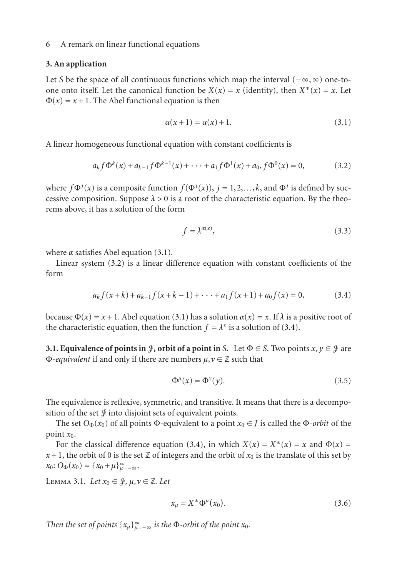#### **3. An application**

Let *S* be the space of all continuous functions which map the interval (−∞,∞) one-toone onto itself. Let the canonical function be  $X(x) = x$  (identity), then  $X^*(x) = x$ . Let  $\Phi(x) = x + 1$ . The Abel functional equation is then

<span id="page-5-1"></span><span id="page-5-0"></span>
$$
\alpha(x+1) = \alpha(x) + 1. \tag{3.1}
$$

A linear homogeneous functional equation with constant coefficients is

$$
a_k f \Phi^k(x) + a_{k-1} f \Phi^{k-1}(x) + \dots + a_1 f \Phi^1(x) + a_0, f \Phi^0(x) = 0,
$$
 (3.2)

where  $f\Phi^j(x)$  is a composite function  $f(\Phi^j(x))$ ,  $j = 1, 2, ..., k$ , and  $\Phi^j$  is defined by successive composition. Suppose  $\lambda > 0$  is a root of the characteristic equation. By the theorems above, it has a solution of the form

<span id="page-5-2"></span>
$$
f = \lambda^{\alpha(x)},\tag{3.3}
$$

where  $\alpha$  satisfies Abel equation [\(3.1\)](#page-5-0).

Linear system [\(3.2\)](#page-5-1) is a linear difference equation with constant coefficients of the form

$$
a_k f(x+k) + a_{k-1} f(x+k-1) + \dots + a_1 f(x+1) + a_0 f(x) = 0,
$$
 (3.4)

because  $\Phi(x) = x + 1$ . Abel equation [\(3.1\)](#page-5-0) has a solution  $\alpha(x) = x$ . If  $\lambda$  is a positive root of the characteristic equation, then the function  $f = \lambda^x$  is a solution of [\(3.4\)](#page-5-2).

**3.1. Equivalence of points in**  $\mathcal{F}$ **, orbit of a point in** *S***. Let**  $\Phi \in S$ **. Two points**  $x, y \in \mathcal{F}$  **are** <sup>Φ</sup>*-equivalent* if and only if there are numbers *<sup>μ</sup>*,*<sup>ν</sup>* <sup>∈</sup> <sup>Z</sup> such that

$$
\Phi^{\mu}(x) = \Phi^{\nu}(y). \tag{3.5}
$$

The equivalence is reflexive, symmetric, and transitive. It means that there is a decomposition of the set  $\mathcal J$  into disjoint sets of equivalent points.

The set  $O_{\Phi}(x_0)$  of all points  $\Phi$ -equivalent to a point  $x_0 \in J$  is called the  $\Phi$ -*orbit* of the point  $x_0$ .

For the classical difference equation [\(3.4\)](#page-5-2), in which  $X(x) = X^*(x) = x$  and  $\Phi(x) = x$  $x + 1$ , the orbit of 0 is the set Z of integers and the orbit of  $x_0$  is the translate of this set by  $x_0$ :  $O_{\Phi}(x_0) = \{x_0 + \mu\}_{\mu=-\infty}^{\infty}$ .

 $\text{Lemma 3.1.}$  *Let*  $x_0 \in \mathcal{J}, \mu, \nu \in \mathbb{Z}$ *. Let* 

<span id="page-5-3"></span>
$$
x_{\mu} = X^* \Phi^{\mu}(x_0).
$$
 (3.6)

*Then the set of points*  $\{x_{\mu}\}_{\mu=-\infty}^{\infty}$  *is the*  $\Phi$ *-orbit of the point*  $x_0$ *.*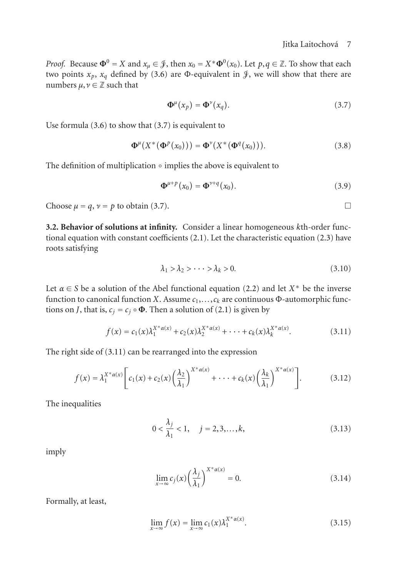*Proof.* Because  $\Phi^0 = X$  and  $x_\mu \in \mathcal{J}$ , then  $x_0 = X^* \Phi^0(x_0)$ . Let  $p, q \in \mathbb{Z}$ . To show that each two points  $x_p$ ,  $x_q$  defined by [\(3.6\)](#page-5-3) are Φ-equivalent in  $\mathcal{J}$ , we will show that there are numbers  $\mu, \nu \in \mathbb{Z}$  such that

<span id="page-6-0"></span>
$$
\mathbf{\Phi}^{\mu}(x_p) = \mathbf{\Phi}^{\nu}(x_q). \tag{3.7}
$$

Use formula [\(3.6\)](#page-5-3) to show that [\(3.7\)](#page-6-0) is equivalent to

$$
\mathbf{\Phi}^{\mu}\left(X^{\ast}\left(\mathbf{\Phi}^{p}\left(x_{0}\right)\right)\right)=\mathbf{\Phi}^{\nu}\left(X^{\ast}\left(\mathbf{\Phi}^{q}\left(x_{0}\right)\right)\right).
$$
 (3.8)

The definition of multiplication  $\circ$  implies the above is equivalent to

$$
\mathbf{\Phi}^{\mu+p}(x_0) = \mathbf{\Phi}^{\nu+q}(x_0). \tag{3.9}
$$

Choose  $\mu = q$ ,  $\nu = p$  to obtain [\(3.7\)](#page-6-0).

**3.2. Behavior of solutions at infinity.** Consider a linear homogeneous *k*th-order functional equation with constant coefficients  $(2.1)$ . Let the characteristic equation  $(2.3)$  have roots satisfying

<span id="page-6-1"></span>
$$
\lambda_1 > \lambda_2 > \cdots > \lambda_k > 0. \tag{3.10}
$$

Let  $\alpha \in S$  be a solution of the Abel functional equation [\(2.2\)](#page-1-1) and let  $X^*$  be the inverse function to canonical function *X*. Assume  $c_1, \ldots, c_k$  are continuous Φ-automorphic functions on *J*, that is,  $c_i = c_j \circ \Phi$ . Then a solution of [\(2.1\)](#page-1-0) is given by

$$
f(x) = c_1(x)\lambda_1^{X^*\alpha(x)} + c_2(x)\lambda_2^{X^*\alpha(x)} + \dots + c_k(x)\lambda_k^{X^*\alpha(x)}.
$$
 (3.11)

The right side of [\(3.11\)](#page-6-1) can be rearranged into the expression

$$
f(x) = \lambda_1^{X^* \alpha(x)} \left[ c_1(x) + c_2(x) \left( \frac{\lambda_2}{\lambda_1} \right)^{X^* \alpha(x)} + \cdots + c_k(x) \left( \frac{\lambda_k}{\lambda_1} \right)^{X^* \alpha(x)} \right].
$$
 (3.12)

The inequalities

$$
0 < \frac{\lambda_j}{\lambda_1} < 1, \quad j = 2, 3, \dots, k,\tag{3.13}
$$

imply

<span id="page-6-2"></span>
$$
\lim_{x \to \infty} c_j(x) \left(\frac{\lambda_j}{\lambda_1}\right)^{X^* \alpha(x)} = 0.
$$
\n(3.14)

Formally, at least,

$$
\lim_{x \to \infty} f(x) = \lim_{x \to \infty} c_1(x) \lambda_1^{X^* \alpha(x)}.
$$
\n(3.15)